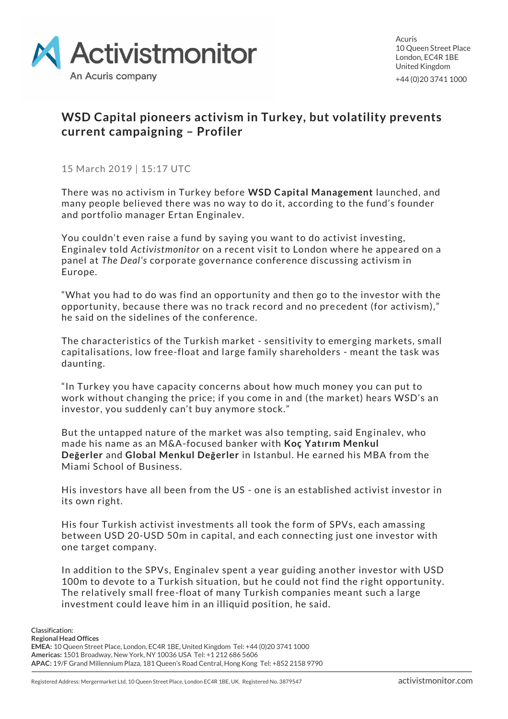

Acuris 10 Queen Street Place London, EC4R 1BE United Kingdom +44 (0)20 3741 1000

## **WSD Capital pioneers activism in Turkey, but volatility prevents current campaigning – Profiler**

15 March 2019 | 15:17 UTC

There was no activism in Turkey before **WSD Capital Management** launched, and many people believed there was no way to do it, according to the fund's founder and portfolio manager Ertan Enginalev.

You couldn't even raise a fund by saying you want to do activist investing, Enginalev told *Activistmonitor* on a recent visit to London where he appeared on a panel at *The Deal's* corporate governance conference discussing activism in Europe.

"What you had to do was find an opportunity and then go to the investor with the opportunity, because there was no track record and no precedent (for activism)," he said on the sidelines of the conference.

The characteristics of the Turkish market - sensitivity to emerging markets, small capitalisations, low free-float and large family shareholders - meant the task was daunting.

"In Turkey you have capacity concerns about how much money you can put to work without changing the price; if you come in and (the market) hears WSD's an investor, you suddenly can't buy anymore stock."

But the untapped nature of the market was also tempting, said Enginalev, who made his name as an M&A-focused banker with **Koç Yatırım Menkul Değerler** and **Global Menkul Değerler** in Istanbul. He earned his MBA from the Miami School of Business.

His investors have all been from the US - one is an established activist investor in its own right.

His four Turkish activist investments all took the form of SPVs, each amassing between USD 20-USD 50m in capital, and each connecting just one investor with one target company.

In addition to the SPVs, Enginalev spent a year guiding another investor with USD 100m to devote to a Turkish situation, but he could not find the right opportunity. The relatively small free-float of many Turkish companies meant such a large investment could leave him in an illiquid position, he said.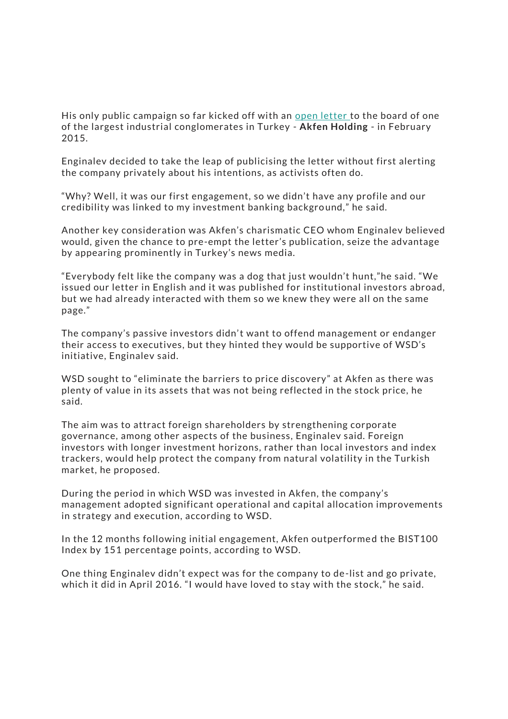His only public campaign so far kicked off with an [open letter](https://www.wsdcapital.com/engagements/) to the board of one of the largest industrial conglomerates in Turkey - **Akfen Holding** - in February 2015.

Enginalev decided to take the leap of publicising the letter without first alerting the company privately about his intentions, as activists often do.

"Why? Well, it was our first engagement, so we didn't have any profile and our credibility was linked to my investment banking background," he said.

Another key consideration was Akfen's charismatic CEO whom Enginalev believed would, given the chance to pre-empt the letter's publication, seize the advantage by appearing prominently in Turkey's news media.

"Everybody felt like the company was a dog that just wouldn't hunt,"he said. "We issued our letter in English and it was published for institutional investors abroad, but we had already interacted with them so we knew they were all on the same page."

The company's passive investors didn't want to offend management or endanger their access to executives, but they hinted they would be supportive of WSD's initiative, Enginalev said.

WSD sought to "eliminate the barriers to price discovery" at Akfen as there was plenty of value in its assets that was not being reflected in the stock price, he said.

The aim was to attract foreign shareholders by strengthening corporate governance, among other aspects of the business, Enginalev said. Foreign investors with longer investment horizons, rather than local investors and index trackers, would help protect the company from natural volatility in the Turkish market, he proposed.

During the period in which WSD was invested in Akfen, the company's management adopted significant operational and capital allocation improvements in strategy and execution, according to WSD.

In the 12 months following initial engagement, Akfen outperformed the BIST100 Index by 151 percentage points, according to WSD.

One thing Enginalev didn't expect was for the company to de-list and go private, which it did in April 2016. "I would have loved to stay with the stock," he said.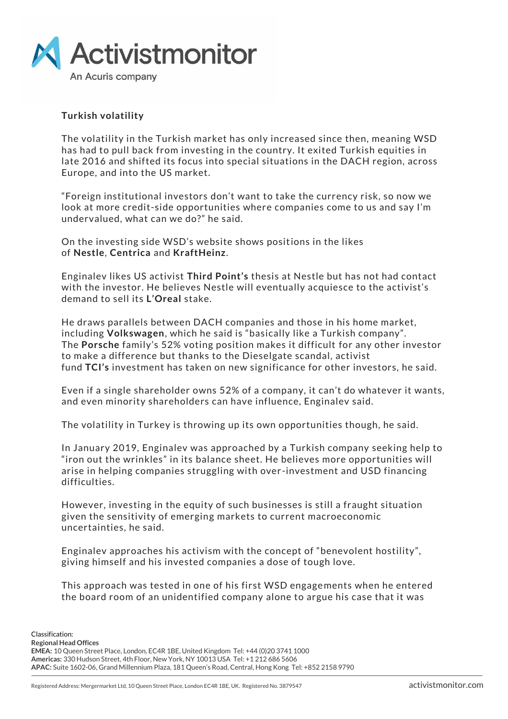

## **Turkish volatility**

The volatility in the Turkish market has only increased since then, meaning WSD has had to pull back from investing in the country. It exited Turkish equities in late 2016 and shifted its focus into special situations in the DACH region, across Europe, and into the US market.

"Foreign institutional investors don't want to take the currency risk, so now we look at more credit-side opportunities where companies come to us and say I'm undervalued, what can we do?" he said.

On the investing side WSD's website shows positions in the likes of **Nestle**, **Centrica** and **KraftHeinz**.

Enginalev likes US activist **Third Point's** thesis at Nestle but has not had contact with the investor. He believes Nestle will eventually acquiesce to the activist's demand to sell its **L'Oreal** stake.

He draws parallels between DACH companies and those in his home market, including **Volkswagen**, which he said is "basically like a Turkish company". The **Porsche** family's 52% voting position makes it difficult for any other investor to make a difference but thanks to the Dieselgate scandal, activist fund **TCI's** investment has taken on new significance for other investors, he said.

Even if a single shareholder owns 52% of a company, it can't do whatever it wants, and even minority shareholders can have influence, Enginalev said.

The volatility in Turkey is throwing up its own opportunities though, he said.

In January 2019, Enginalev was approached by a Turkish company seeking help to "iron out the wrinkles" in its balance sheet. He believes more opportunities will arise in helping companies struggling with over -investment and USD financing difficulties.

However, investing in the equity of such businesses is still a fraught situation given the sensitivity of emerging markets to current macroeconomic uncertainties, he said.

Enginalev approaches his activism with the concept of "benevolent hostility", giving himself and his invested companies a dose of tough love.

This approach was tested in one of his first WSD engagements when he entered the board room of an unidentified company alone to argue his case that it was